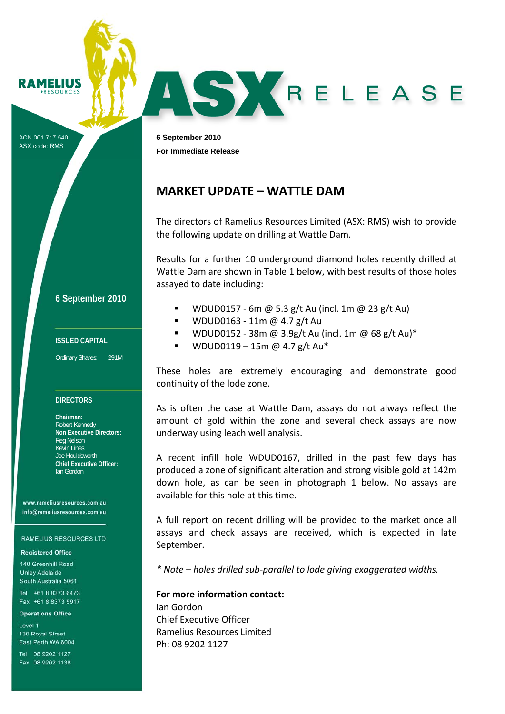**RAMELIUS RESOURCES** 

ACN 001 717 540 ASX code: RMS

**6 September 2010 For Immediate Release** 

# **MARKET UPDATE – WATTLE DAM**

The directors of Ramelius Resources Limited (ASX: RMS) wish to provide the following update on drilling at Wattle Dam.

AS KRELEASE

Results for a further 10 underground diamond holes recently drilled at Wattle Dam are shown in Table 1 below, with best results of those holes assayed to date including:

- WDUD0157 6m @ 5.3 g/t Au (incl. 1m @ 23 g/t Au)
- WDUD0163 11m @ 4.7 g/t Au
- WDUD0152 ‐ 38m @ 3.9g/t Au (incl. 1m @ 68 g/t Au)\*
- **WDUD0119 15m @ 4.7 g/t Au\***

These holes are extremely encouraging and demonstrate good continuity of the lode zone.

As is often the case at Wattle Dam, assays do not always reflect the amount of gold within the zone and several check assays are now underway using leach well analysis.

A recent infill hole WDUD0167, drilled in the past few days has produced a zone of significant alteration and strong visible gold at 142m down hole, as can be seen in photograph 1 below. No assays are available for this hole at this time.

A full report on recent drilling will be provided to the market once all assays and check assays are received, which is expected in late September.

*\* Note – holes drilled sub‐parallel to lode giving exaggerated widths.*

# **For more information contact:**

Ian Gordon Chief Executive Officer Ramelius Resources Limited Ph: 08 9202 1127

**6 September 2010**

### **ISSUED CAPITAL**

Ordinary Shares: 291M

# **DIRECTORS**

**Chairman:**  Robert Kennedy **Non Executive Directors:**  Reg Nelson Kevin Lines Joe Houldsworth **Chief Executive Officer:**  Ian Gordon

www.rameliusresources.com.au info@rameliusresources.com.au

#### **RAMELIUS RESOURCES LTD**

# **Registered Office**

140 Greenhill Road **Unlev Adelaide** South Australia 5061

Tel +61 8 8373 6473 Fax +61 8 8373 5917

### **Operations Office**

Level 1 130 Royal Street East Perth WA 6004

Tel 08 9202 1127 Fax 08 9202 1138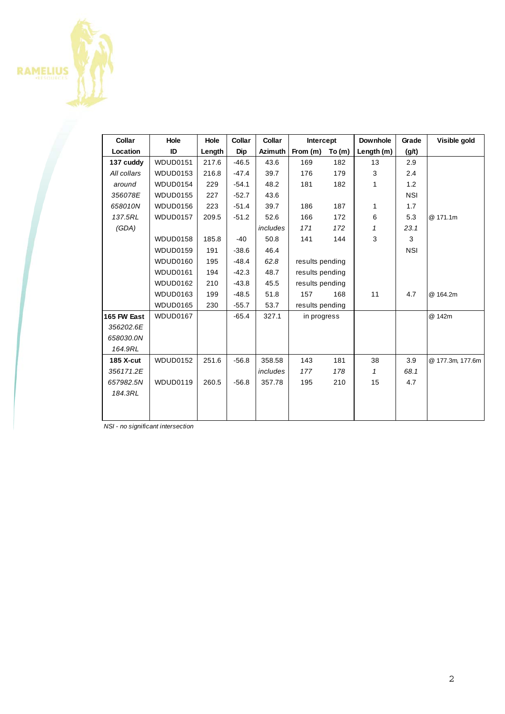

| Collar           | Hole            | Hole   | Collar  | Collar   | Intercept       |          | Downhole   | Grade      | Visible gold     |
|------------------|-----------------|--------|---------|----------|-----------------|----------|------------|------------|------------------|
| Location         | ID              | Length | Dip     | Azimuth  | From (m)        | To $(m)$ | Length (m) | (g/t)      |                  |
| 137 cuddy        | WDUD0151        | 217.6  | $-46.5$ | 43.6     | 169             | 182      | 13         | 2.9        |                  |
| All collars      | <b>WDUD0153</b> | 216.8  | $-47.4$ | 39.7     | 176             | 179      | 3          | 2.4        |                  |
| around           | WDUD0154        | 229    | $-54.1$ | 48.2     | 181             | 182      | 1          | 1.2        |                  |
| 356078E          | <b>WDUD0155</b> | 227    | $-52.7$ | 43.6     |                 |          |            | <b>NSI</b> |                  |
| 658010N          | <b>WDUD0156</b> | 223    | $-51.4$ | 39.7     | 186             | 187      | 1          | 1.7        |                  |
| 137.5RL          | WDUD0157        | 209.5  | $-51.2$ | 52.6     | 166             | 172      | 6          | 5.3        | @ 171.1m         |
| (GDA)            |                 |        |         | includes | 171             | 172      | 1          | 23.1       |                  |
|                  | <b>WDUD0158</b> | 185.8  | $-40$   | 50.8     | 141             | 144      | 3          | 3          |                  |
|                  | <b>WDUD0159</b> | 191    | $-38.6$ | 46.4     |                 |          |            | <b>NSI</b> |                  |
|                  | <b>WDUD0160</b> | 195    | $-48.4$ | 62.8     | results pending |          |            |            |                  |
|                  | WDUD0161        | 194    | $-42.3$ | 48.7     | results pending |          |            |            |                  |
|                  | <b>WDUD0162</b> | 210    | $-43.8$ | 45.5     | results pending |          |            |            |                  |
|                  | WDUD0163        | 199    | $-48.5$ | 51.8     | 157             | 168      | 11         | 4.7        | @ 164.2m         |
|                  | <b>WDUD0165</b> | 230    | $-55.7$ | 53.7     | results pending |          |            |            |                  |
| 165 FW East      | WDUD0167        |        | $-65.4$ | 327.1    | in progress     |          |            |            | @ 142m           |
| 356202.6E        |                 |        |         |          |                 |          |            |            |                  |
| 658030.0N        |                 |        |         |          |                 |          |            |            |                  |
| 164.9RL          |                 |        |         |          |                 |          |            |            |                  |
| <b>185 X-cut</b> | <b>WDUD0152</b> | 251.6  | $-56.8$ | 358.58   | 143             | 181      | 38         | 3.9        | @ 177.3m, 177.6m |
| 356171.2E        |                 |        |         | includes | 177             | 178      | 1          | 68.1       |                  |
| 657982.5N        | WDUD0119        | 260.5  | $-56.8$ | 357.78   | 195             | 210      | 15         | 4.7        |                  |
| 184.3RL          |                 |        |         |          |                 |          |            |            |                  |
|                  |                 |        |         |          |                 |          |            |            |                  |
|                  |                 |        |         |          |                 |          |            |            |                  |

*NSI - no significant intersection*